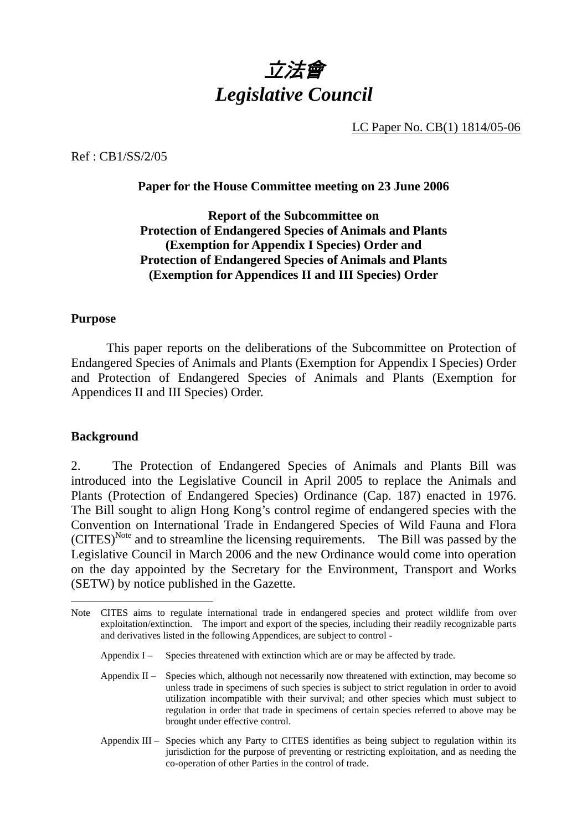

LC Paper No. CB(1) 1814/05-06

Ref : CB1/SS/2/05

#### **Paper for the House Committee meeting on 23 June 2006**

## **Report of the Subcommittee on Protection of Endangered Species of Animals and Plants (Exemption for Appendix I Species) Order and Protection of Endangered Species of Animals and Plants (Exemption for Appendices II and III Species) Order**

#### **Purpose**

 This paper reports on the deliberations of the Subcommittee on Protection of Endangered Species of Animals and Plants (Exemption for Appendix I Species) Order and Protection of Endangered Species of Animals and Plants (Exemption for Appendices II and III Species) Order.

#### **Background**

 $\overline{a}$ 

2. The Protection of Endangered Species of Animals and Plants Bill was introduced into the Legislative Council in April 2005 to replace the Animals and Plants (Protection of Endangered Species) Ordinance (Cap. 187) enacted in 1976. The Bill sought to align Hong Kong's control regime of endangered species with the Convention on International Trade in Endangered Species of Wild Fauna and Flora  $(CITES)^{Note}$  and to streamline the licensing requirements. The Bill was passed by the Legislative Council in March 2006 and the new Ordinance would come into operation on the day appointed by the Secretary for the Environment, Transport and Works (SETW) by notice published in the Gazette.

- Appendix I Species threatened with extinction which are or may be affected by trade.
- Appendix  $II -$  Species which, although not necessarily now threatened with extinction, may become so unless trade in specimens of such species is subject to strict regulation in order to avoid utilization incompatible with their survival; and other species which must subject to regulation in order that trade in specimens of certain species referred to above may be brought under effective control.
- Appendix III Species which any Party to CITES identifies as being subject to regulation within its jurisdiction for the purpose of preventing or restricting exploitation, and as needing the co-operation of other Parties in the control of trade.

Note CITES aims to regulate international trade in endangered species and protect wildlife from over exploitation/extinction. The import and export of the species, including their readily recognizable parts and derivatives listed in the following Appendices, are subject to control -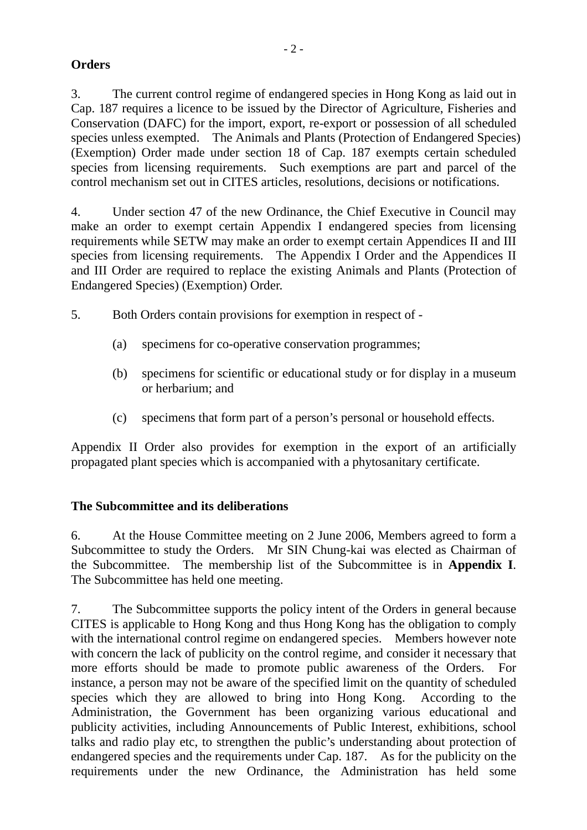## **Orders**

3. The current control regime of endangered species in Hong Kong as laid out in Cap. 187 requires a licence to be issued by the Director of Agriculture, Fisheries and Conservation (DAFC) for the import, export, re-export or possession of all scheduled species unless exempted. The Animals and Plants (Protection of Endangered Species) (Exemption) Order made under section 18 of Cap. 187 exempts certain scheduled species from licensing requirements. Such exemptions are part and parcel of the control mechanism set out in CITES articles, resolutions, decisions or notifications.

4. Under section 47 of the new Ordinance, the Chief Executive in Council may make an order to exempt certain Appendix I endangered species from licensing requirements while SETW may make an order to exempt certain Appendices II and III species from licensing requirements. The Appendix I Order and the Appendices II and III Order are required to replace the existing Animals and Plants (Protection of Endangered Species) (Exemption) Order.

- 5. Both Orders contain provisions for exemption in respect of
	- (a) specimens for co-operative conservation programmes;
	- (b) specimens for scientific or educational study or for display in a museum or herbarium; and
	- (c) specimens that form part of a person's personal or household effects.

Appendix II Order also provides for exemption in the export of an artificially propagated plant species which is accompanied with a phytosanitary certificate.

## **The Subcommittee and its deliberations**

6. At the House Committee meeting on 2 June 2006, Members agreed to form a Subcommittee to study the Orders. Mr SIN Chung-kai was elected as Chairman of the Subcommittee. The membership list of the Subcommittee is in **Appendix I**. The Subcommittee has held one meeting.

7. The Subcommittee supports the policy intent of the Orders in general because CITES is applicable to Hong Kong and thus Hong Kong has the obligation to comply with the international control regime on endangered species. Members however note with concern the lack of publicity on the control regime, and consider it necessary that more efforts should be made to promote public awareness of the Orders. For instance, a person may not be aware of the specified limit on the quantity of scheduled species which they are allowed to bring into Hong Kong. According to the Administration, the Government has been organizing various educational and publicity activities, including Announcements of Public Interest, exhibitions, school talks and radio play etc, to strengthen the public's understanding about protection of endangered species and the requirements under Cap. 187. As for the publicity on the requirements under the new Ordinance, the Administration has held some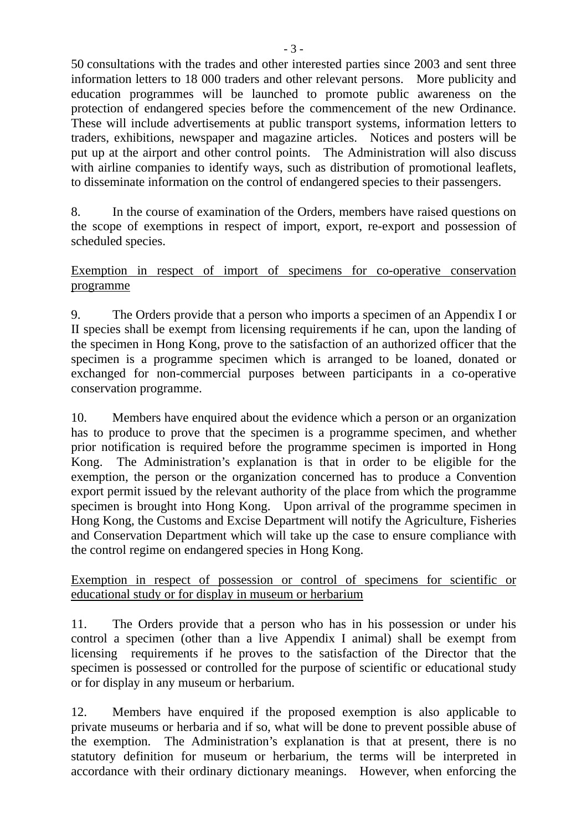50 consultations with the trades and other interested parties since 2003 and sent three information letters to 18 000 traders and other relevant persons. More publicity and education programmes will be launched to promote public awareness on the protection of endangered species before the commencement of the new Ordinance. These will include advertisements at public transport systems, information letters to traders, exhibitions, newspaper and magazine articles. Notices and posters will be put up at the airport and other control points. The Administration will also discuss with airline companies to identify ways, such as distribution of promotional leaflets, to disseminate information on the control of endangered species to their passengers.

8. In the course of examination of the Orders, members have raised questions on the scope of exemptions in respect of import, export, re-export and possession of scheduled species.

Exemption in respect of import of specimens for co-operative conservation programme

9. The Orders provide that a person who imports a specimen of an Appendix I or II species shall be exempt from licensing requirements if he can, upon the landing of the specimen in Hong Kong, prove to the satisfaction of an authorized officer that the specimen is a programme specimen which is arranged to be loaned, donated or exchanged for non-commercial purposes between participants in a co-operative conservation programme.

10. Members have enquired about the evidence which a person or an organization has to produce to prove that the specimen is a programme specimen, and whether prior notification is required before the programme specimen is imported in Hong Kong. The Administration's explanation is that in order to be eligible for the exemption, the person or the organization concerned has to produce a Convention export permit issued by the relevant authority of the place from which the programme specimen is brought into Hong Kong. Upon arrival of the programme specimen in Hong Kong, the Customs and Excise Department will notify the Agriculture, Fisheries and Conservation Department which will take up the case to ensure compliance with the control regime on endangered species in Hong Kong.

Exemption in respect of possession or control of specimens for scientific or educational study or for display in museum or herbarium

11. The Orders provide that a person who has in his possession or under his control a specimen (other than a live Appendix I animal) shall be exempt from licensing requirements if he proves to the satisfaction of the Director that the specimen is possessed or controlled for the purpose of scientific or educational study or for display in any museum or herbarium.

12. Members have enquired if the proposed exemption is also applicable to private museums or herbaria and if so, what will be done to prevent possible abuse of the exemption. The Administration's explanation is that at present, there is no statutory definition for museum or herbarium, the terms will be interpreted in accordance with their ordinary dictionary meanings. However, when enforcing the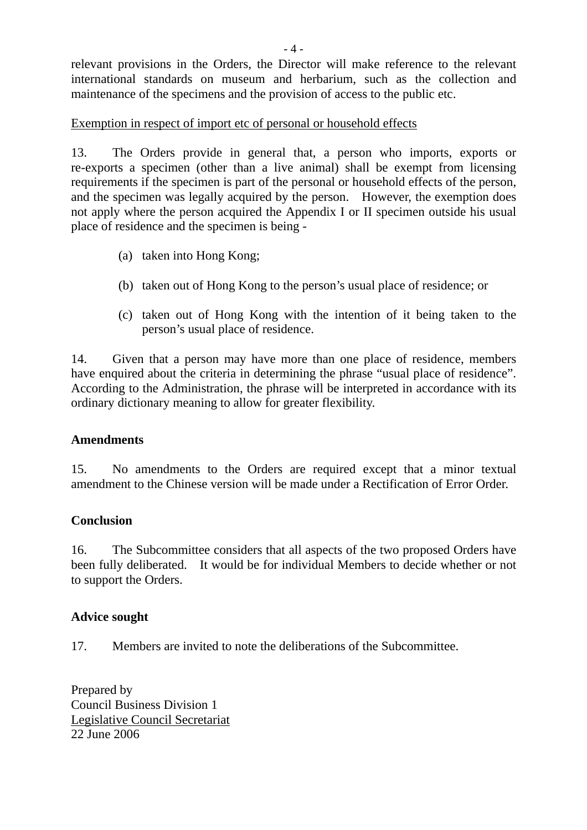relevant provisions in the Orders, the Director will make reference to the relevant international standards on museum and herbarium, such as the collection and maintenance of the specimens and the provision of access to the public etc.

## Exemption in respect of import etc of personal or household effects

13. The Orders provide in general that, a person who imports, exports or re-exports a specimen (other than a live animal) shall be exempt from licensing requirements if the specimen is part of the personal or household effects of the person, and the specimen was legally acquired by the person. However, the exemption does not apply where the person acquired the Appendix I or II specimen outside his usual place of residence and the specimen is being -

- (a) taken into Hong Kong;
- (b) taken out of Hong Kong to the person's usual place of residence; or
- (c) taken out of Hong Kong with the intention of it being taken to the person's usual place of residence.

14. Given that a person may have more than one place of residence, members have enquired about the criteria in determining the phrase "usual place of residence". According to the Administration, the phrase will be interpreted in accordance with its ordinary dictionary meaning to allow for greater flexibility.

### **Amendments**

15. No amendments to the Orders are required except that a minor textual amendment to the Chinese version will be made under a Rectification of Error Order.

## **Conclusion**

16. The Subcommittee considers that all aspects of the two proposed Orders have been fully deliberated. It would be for individual Members to decide whether or not to support the Orders.

### **Advice sought**

17. Members are invited to note the deliberations of the Subcommittee.

Prepared by Council Business Division 1 Legislative Council Secretariat 22 June 2006